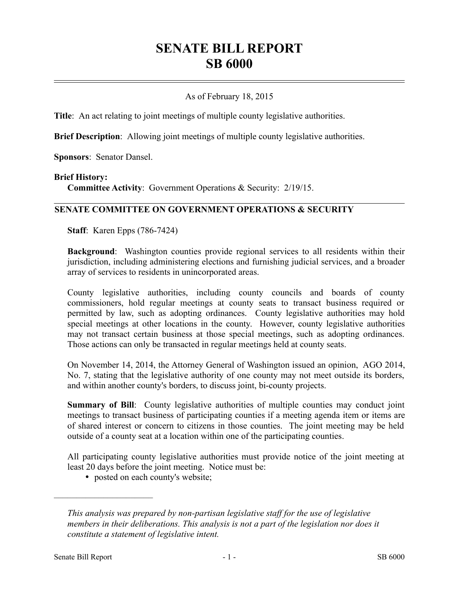# **SENATE BILL REPORT SB 6000**

## As of February 18, 2015

**Title**: An act relating to joint meetings of multiple county legislative authorities.

**Brief Description**: Allowing joint meetings of multiple county legislative authorities.

**Sponsors**: Senator Dansel.

#### **Brief History:**

**Committee Activity**: Government Operations & Security: 2/19/15.

#### **SENATE COMMITTEE ON GOVERNMENT OPERATIONS & SECURITY**

**Staff**: Karen Epps (786-7424)

**Background**: Washington counties provide regional services to all residents within their jurisdiction, including administering elections and furnishing judicial services, and a broader array of services to residents in unincorporated areas.

County legislative authorities, including county councils and boards of county commissioners, hold regular meetings at county seats to transact business required or permitted by law, such as adopting ordinances. County legislative authorities may hold special meetings at other locations in the county. However, county legislative authorities may not transact certain business at those special meetings, such as adopting ordinances. Those actions can only be transacted in regular meetings held at county seats.

On November 14, 2014, the Attorney General of Washington issued an opinion, AGO 2014, No. 7, stating that the legislative authority of one county may not meet outside its borders, and within another county's borders, to discuss joint, bi-county projects.

**Summary of Bill**: County legislative authorities of multiple counties may conduct joint meetings to transact business of participating counties if a meeting agenda item or items are of shared interest or concern to citizens in those counties. The joint meeting may be held outside of a county seat at a location within one of the participating counties.

All participating county legislative authorities must provide notice of the joint meeting at least 20 days before the joint meeting. Notice must be:

• posted on each county's website;

––––––––––––––––––––––

*This analysis was prepared by non-partisan legislative staff for the use of legislative members in their deliberations. This analysis is not a part of the legislation nor does it constitute a statement of legislative intent.*